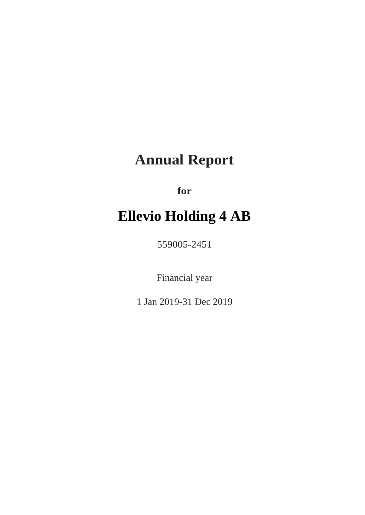# **Annual Report**

**for**

# **Ellevio Holding 4 AB**

559005-2451

Financial year

1 Jan 2019-31 Dec 2019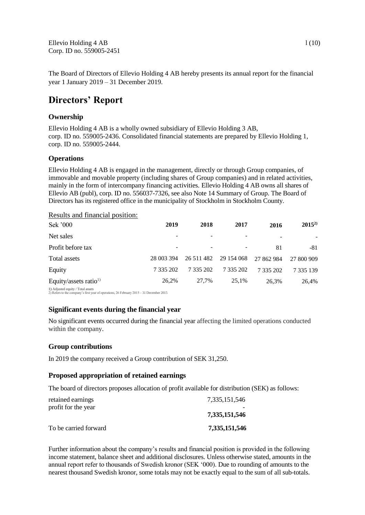The Board of Directors of Ellevio Holding 4 AB hereby presents its annual report for the financial year 1 January 2019 – 31 December 2019.

# **Directors' Report**

## **Ownership**

Ellevio Holding 4 AB is a wholly owned subsidiary of Ellevio Holding 3 AB, corp. ID no. 559005-2436. Consolidated financial statements are prepared by Ellevio Holding 1, corp. ID no. 559005-2444.

## **Operations**

Ellevio Holding 4 AB is engaged in the management, directly or through Group companies, of immovable and movable property (including shares of Group companies) and in related activities, mainly in the form of intercompany financing activities. Ellevio Holding 4 AB owns all shares of Ellevio AB (publ), corp. ID no. 556037-7326, see also Note 14 Summary of Group. The Board of Directors has its registered office in the municipality of Stockholm in Stockholm County.

#### Results and financial position:

| Sek '000                          | 2019                     | 2018       | 2017       | 2016       | $2015^{2}$ |
|-----------------------------------|--------------------------|------------|------------|------------|------------|
| Net sales                         |                          |            |            |            | ۰.         |
| Profit before tax                 | $\overline{\phantom{a}}$ |            |            | 81         | -81        |
| Total assets                      | 28 003 394               | 26 511 482 | 29 154 068 | 27 862 984 | 27 800 909 |
| Equity                            | 7 335 202                | 7 335 202  | 7 335 202  | 7 335 202  | 7 335 139  |
| Equity/assets ratio <sup>1)</sup> | 26.2%                    | 27,7%      | 25,1%      | 26,3%      | 26,4%      |
| 1) Adjusted equity / Total assets |                          |            |            |            |            |

1) Adjusted equity / Total assets 2) Refers to the company's first year of operations, 26 February 2015 – 31 December 2015

## **Significant events during the financial year**

No significant events occurred during the financial year affecting the limited operations conducted within the company.

## **Group contributions**

In 2019 the company received a Group contribution of SEK 31,250.

## **Proposed appropriation of retained earnings**

The board of directors proposes allocation of profit available for distribution (SEK) as follows:

| retained earnings<br>profit for the year | 7.335.151.546 |
|------------------------------------------|---------------|
|                                          | 7,335,151,546 |
| To be carried forward                    | 7,335,151,546 |

Further information about the company's results and financial position is provided in the following income statement, balance sheet and additional disclosures. Unless otherwise stated, amounts in the annual report refer to thousands of Swedish kronor (SEK '000). Due to rounding of amounts to the nearest thousand Swedish kronor, some totals may not be exactly equal to the sum of all sub-totals.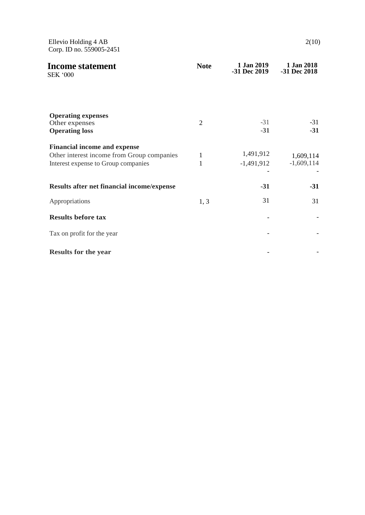Ellevio Holding 4 AB 2(10) Corp. ID no. 559005-2451

| <b>Income statement</b><br><b>SEK '000</b>                                                                               | <b>Note</b>       | 1 Jan 2019<br>-31 Dec 2019 | 1 Jan 2018<br>-31 Dec 2018 |
|--------------------------------------------------------------------------------------------------------------------------|-------------------|----------------------------|----------------------------|
| <b>Operating expenses</b><br>Other expenses                                                                              | 2                 | $-31$                      | $-31$                      |
| <b>Operating loss</b>                                                                                                    |                   | $-31$                      | $-31$                      |
| <b>Financial income and expense</b><br>Other interest income from Group companies<br>Interest expense to Group companies | 1<br>$\mathbf{1}$ | 1,491,912<br>$-1,491,912$  | 1,609,114<br>$-1,609,114$  |
| Results after net financial income/expense                                                                               |                   | $-31$                      | $-31$                      |
| Appropriations                                                                                                           | 1, 3              | 31                         | 31                         |
| <b>Results before tax</b>                                                                                                |                   |                            |                            |
| Tax on profit for the year                                                                                               |                   |                            |                            |
| <b>Results for the year</b>                                                                                              |                   |                            |                            |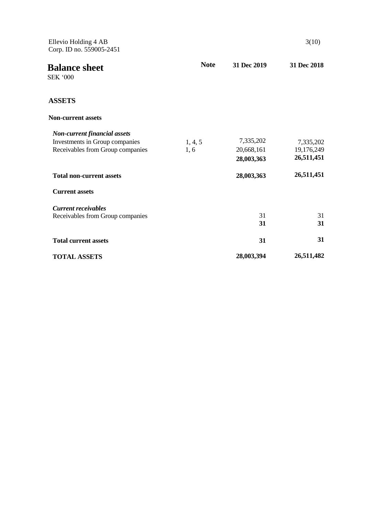| Ellevio Holding 4 AB<br>Corp. ID no. 559005-2451 |             |             | 3(10)       |
|--------------------------------------------------|-------------|-------------|-------------|
| <b>Balance sheet</b><br><b>SEK '000</b>          | <b>Note</b> | 31 Dec 2019 | 31 Dec 2018 |
| <b>ASSETS</b>                                    |             |             |             |
| <b>Non-current assets</b>                        |             |             |             |
| <b>Non-current financial assets</b>              |             |             |             |
| Investments in Group companies                   | 1, 4, 5     | 7,335,202   | 7,335,202   |
| Receivables from Group companies                 | 1, 6        | 20,668,161  | 19,176,249  |
|                                                  |             | 28,003,363  | 26,511,451  |
| <b>Total non-current assets</b>                  |             | 28,003,363  | 26,511,451  |
| <b>Current assets</b>                            |             |             |             |
| <b>Current receivables</b>                       |             |             |             |
| Receivables from Group companies                 |             | 31          | 31          |
|                                                  |             | 31          | 31          |
| <b>Total current assets</b>                      |             | 31          | 31          |
| <b>TOTAL ASSETS</b>                              |             | 28,003,394  | 26,511,482  |
|                                                  |             |             |             |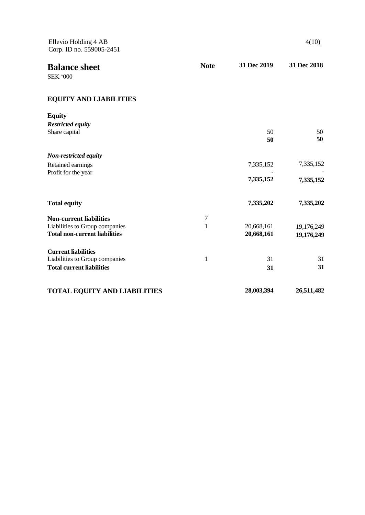| Ellevio Holding 4 AB<br>Corp. ID no. 559005-2451 |              |             | 4(10)       |
|--------------------------------------------------|--------------|-------------|-------------|
| <b>Balance sheet</b><br><b>SEK '000</b>          | <b>Note</b>  | 31 Dec 2019 | 31 Dec 2018 |
| <b>EQUITY AND LIABILITIES</b>                    |              |             |             |
| <b>Equity</b>                                    |              |             |             |
| <b>Restricted equity</b>                         |              |             |             |
| Share capital                                    |              | 50<br>50    | 50<br>50    |
| Non-restricted equity                            |              |             |             |
| Retained earnings<br>Profit for the year         |              | 7,335,152   | 7,335,152   |
|                                                  |              | 7,335,152   | 7,335,152   |
| <b>Total equity</b>                              |              | 7,335,202   | 7,335,202   |
| <b>Non-current liabilities</b>                   | $\tau$       |             |             |
| Liabilities to Group companies                   | 1            | 20,668,161  | 19,176,249  |
| <b>Total non-current liabilities</b>             |              | 20,668,161  | 19,176,249  |
| <b>Current liabilities</b>                       |              |             |             |
| Liabilities to Group companies                   | $\mathbf{1}$ | 31          | 31          |
| <b>Total current liabilities</b>                 |              | 31          | 31          |
| <b>TOTAL EQUITY AND LIABILITIES</b>              |              | 28,003,394  | 26,511,482  |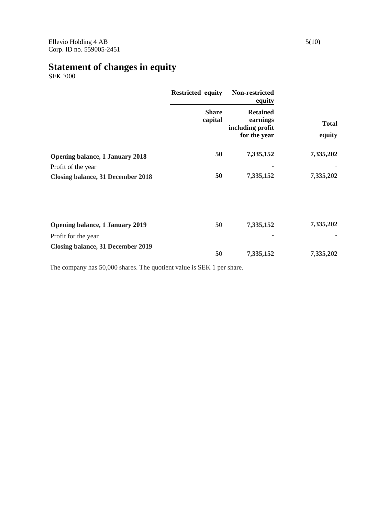# **Statement of changes in equity**

SEK '000

|                                          | <b>Restricted equity</b> | Non-restricted<br>equity                                        |                        |
|------------------------------------------|--------------------------|-----------------------------------------------------------------|------------------------|
|                                          | <b>Share</b><br>capital  | <b>Retained</b><br>earnings<br>including profit<br>for the year | <b>Total</b><br>equity |
| <b>Opening balance, 1 January 2018</b>   | 50                       | 7,335,152                                                       | 7,335,202              |
| Profit of the year                       |                          |                                                                 |                        |
| <b>Closing balance, 31 December 2018</b> | 50                       | 7,335,152                                                       | 7,335,202              |
| <b>Opening balance, 1 January 2019</b>   | 50                       | 7,335,152                                                       | 7,335,202              |
|                                          |                          |                                                                 |                        |
| Profit for the year                      |                          |                                                                 |                        |
| <b>Closing balance, 31 December 2019</b> | 50                       | 7,335,152                                                       | 7,335,202              |

The company has 50,000 shares. The quotient value is SEK 1 per share.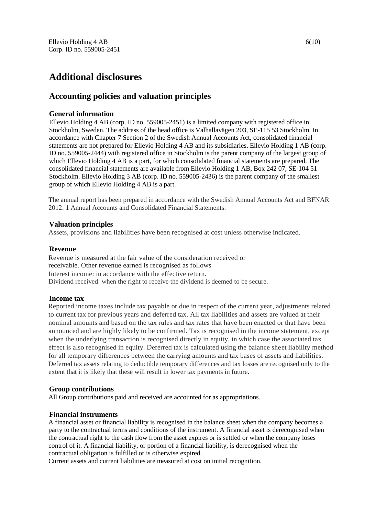# **Additional disclosures**

# **Accounting policies and valuation principles**

## **General information**

Ellevio Holding 4 AB (corp. ID no. 559005-2451) is a limited company with registered office in Stockholm, Sweden. The address of the head office is Valhallavägen 203, SE-115 53 Stockholm. In accordance with Chapter 7 Section 2 of the Swedish Annual Accounts Act, consolidated financial statements are not prepared for Ellevio Holding 4 AB and its subsidiaries. Ellevio Holding 1 AB (corp. ID no. 559005-2444) with registered office in Stockholm is the parent company of the largest group of which Ellevio Holding 4 AB is a part, for which consolidated financial statements are prepared. The consolidated financial statements are available from Ellevio Holding 1 AB, Box 242 07, SE-104 51 Stockholm. Ellevio Holding 3 AB (corp. ID no. 559005-2436) is the parent company of the smallest group of which Ellevio Holding 4 AB is a part.

The annual report has been prepared in accordance with the Swedish Annual Accounts Act and BFNAR 2012: 1 Annual Accounts and Consolidated Financial Statements.

## **Valuation principles**

Assets, provisions and liabilities have been recognised at cost unless otherwise indicated.

#### **Revenue**

Revenue is measured at the fair value of the consideration received or receivable. Other revenue earned is recognised as follows Interest income: in accordance with the effective return. Dividend received: when the right to receive the dividend is deemed to be secure.

## **Income tax**

Reported income taxes include tax payable or due in respect of the current year, adjustments related to current tax for previous years and deferred tax. All tax liabilities and assets are valued at their nominal amounts and based on the tax rules and tax rates that have been enacted or that have been announced and are highly likely to be confirmed. Tax is recognised in the income statement, except when the underlying transaction is recognised directly in equity, in which case the associated tax effect is also recognised in equity. Deferred tax is calculated using the balance sheet liability method for all temporary differences between the carrying amounts and tax bases of assets and liabilities. Deferred tax assets relating to deductible temporary differences and tax losses are recognised only to the extent that it is likely that these will result in lower tax payments in future.

## **Group contributions**

All Group contributions paid and received are accounted for as appropriations.

## **Financial instruments**

A financial asset or financial liability is recognised in the balance sheet when the company becomes a party to the contractual terms and conditions of the instrument. A financial asset is derecognised when the contractual right to the cash flow from the asset expires or is settled or when the company loses control of it. A financial liability, or portion of a financial liability, is derecognised when the contractual obligation is fulfilled or is otherwise expired.

Current assets and current liabilities are measured at cost on initial recognition.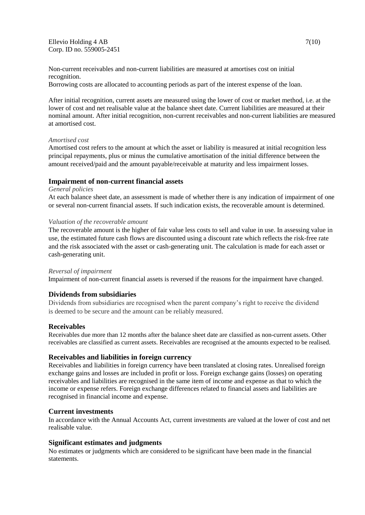Ellevio Holding 4 AB 7(10) Corp. ID no. 559005-2451

Non-current receivables and non-current liabilities are measured at amortises cost on initial recognition.

Borrowing costs are allocated to accounting periods as part of the interest expense of the loan.

After initial recognition, current assets are measured using the lower of cost or market method, i.e. at the lower of cost and net realisable value at the balance sheet date. Current liabilities are measured at their nominal amount. After initial recognition, non-current receivables and non-current liabilities are measured at amortised cost.

#### *Amortised cost*

Amortised cost refers to the amount at which the asset or liability is measured at initial recognition less principal repayments, plus or minus the cumulative amortisation of the initial difference between the amount received/paid and the amount payable/receivable at maturity and less impairment losses.

#### **Impairment of non-current financial assets**

#### *General policies*

At each balance sheet date, an assessment is made of whether there is any indication of impairment of one or several non-current financial assets. If such indication exists, the recoverable amount is determined.

#### *Valuation of the recoverable amount*

The recoverable amount is the higher of fair value less costs to sell and value in use. In assessing value in use, the estimated future cash flows are discounted using a discount rate which reflects the risk-free rate and the risk associated with the asset or cash-generating unit. The calculation is made for each asset or cash-generating unit.

#### *Reversal of impairment*

Impairment of non-current financial assets is reversed if the reasons for the impairment have changed.

#### **Dividends from subsidiaries**

Dividends from subsidiaries are recognised when the parent company's right to receive the dividend is deemed to be secure and the amount can be reliably measured.

#### **Receivables**

Receivables due more than 12 months after the balance sheet date are classified as non-current assets. Other receivables are classified as current assets. Receivables are recognised at the amounts expected to be realised.

#### **Receivables and liabilities in foreign currency**

Receivables and liabilities in foreign currency have been translated at closing rates. Unrealised foreign exchange gains and losses are included in profit or loss. Foreign exchange gains (losses) on operating receivables and liabilities are recognised in the same item of income and expense as that to which the income or expense refers. Foreign exchange differences related to financial assets and liabilities are recognised in financial income and expense.

#### **Current investments**

In accordance with the Annual Accounts Act, current investments are valued at the lower of cost and net realisable value.

#### **Significant estimates and judgments**

No estimates or judgments which are considered to be significant have been made in the financial statements.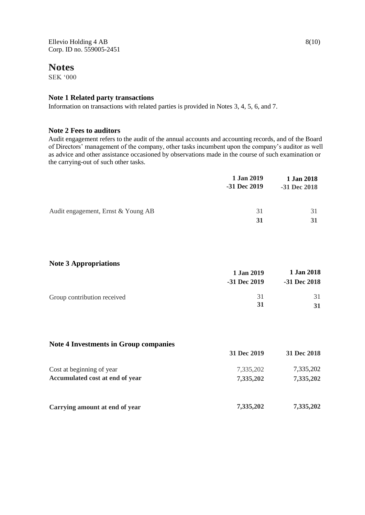Ellevio Holding 4 AB 8(10) Corp. ID no. 559005-2451

## **Notes**

SEK '000

## **Note 1 Related party transactions**

Information on transactions with related parties is provided in Notes 3, 4, 5, 6, and 7.

## **Note 2 Fees to auditors**

Audit engagement refers to the audit of the annual accounts and accounting records, and of the Board of Directors' management of the company, other tasks incumbent upon the company's auditor as well as advice and other assistance occasioned by observations made in the course of such examination or the carrying-out of such other tasks.

|                                    | 1 Jan 2019<br>-31 Dec 2019 | 1 Jan 2018<br>-31 Dec 2018 |
|------------------------------------|----------------------------|----------------------------|
| Audit engagement, Ernst & Young AB | 31<br>31                   | 31<br>31                   |

## **Note 3 Appropriations**

| .                           | 1 Jan 2019<br>$-31$ Dec $2019$ | 1 Jan 2018<br>$-31$ Dec 2018 |
|-----------------------------|--------------------------------|------------------------------|
| Group contribution received | 31<br>31                       | 31<br>31                     |

## **Note 4 Investments in Group companies**

|                                        | 31 Dec 2019 | 31 Dec 2018 |
|----------------------------------------|-------------|-------------|
| Cost at beginning of year              | 7,335,202   | 7,335,202   |
| <b>Accumulated cost at end of year</b> | 7,335,202   | 7,335,202   |
| Carrying amount at end of year         | 7,335,202   | 7,335,202   |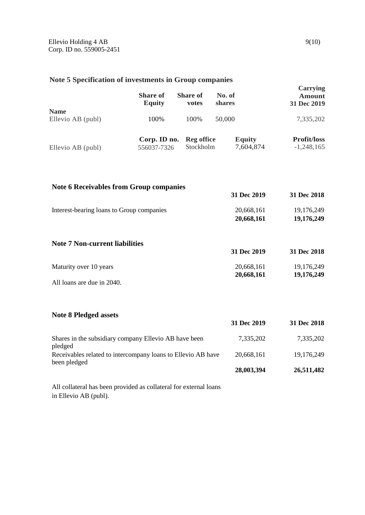## **Note 5 Specification of investments in Group companies**

|                                  | <b>Share of</b><br><b>Equity</b> | <b>Share of</b><br>votes       | No. of<br><b>shares</b>    | <b>Carrying</b><br><b>Amount</b><br>31 Dec 2019 |
|----------------------------------|----------------------------------|--------------------------------|----------------------------|-------------------------------------------------|
| <b>Name</b><br>Ellevio AB (publ) | 100%                             | 100%                           | 50,000                     | 7,335,202                                       |
| Ellevio AB (publ)                | Corp. ID no.<br>556037-7326      | <b>Reg office</b><br>Stockholm | <b>Equity</b><br>7,604,874 | <b>Profit/loss</b><br>$-1,248,165$              |

| <b>Note 6 Receivables from Group companies</b> |             |             |
|------------------------------------------------|-------------|-------------|
|                                                | 31 Dec 2019 | 31 Dec 2018 |
| Interest-bearing loans to Group companies      | 20,668,161  | 19,176,249  |
|                                                | 20,668,161  | 19,176,249  |
| <b>Note 7 Non-current liabilities</b>          |             |             |
|                                                | 31 Dec 2019 | 31 Dec 2018 |
| Maturity over 10 years                         | 20,668,161  | 19,176,249  |
|                                                | 20,668,161  | 19,176,249  |
| All loans are due in 2040.                     |             |             |

**Note 8 Pledged assets**

|                                                                              | 31 Dec 2019 | 31 Dec 2018 |
|------------------------------------------------------------------------------|-------------|-------------|
| Shares in the subsidiary company Ellevio AB have been<br>pledged             | 7,335,202   | 7,335,202   |
| Receivables related to intercompany loans to Ellevio AB have<br>been pledged | 20,668,161  | 19,176,249  |
|                                                                              | 28,003,394  | 26,511,482  |

All collateral has been provided as collateral for external loans in Ellevio AB (publ).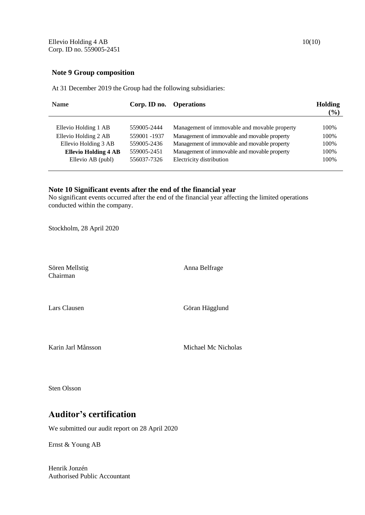#### **Note 9 Group composition**

At 31 December 2019 the Group had the following subsidiaries:

| <b>Name</b>                 | Corp. ID no. | <b>Operations</b>                            | <b>Holding</b><br>$\frac{(0)}{0}$ |
|-----------------------------|--------------|----------------------------------------------|-----------------------------------|
| Ellevio Holding 1 AB        | 559005-2444  | Management of immovable and movable property | 100%                              |
| Ellevio Holding 2 AB        | 559001 -1937 | Management of immovable and movable property | 100%                              |
| Ellevio Holding 3 AB        | 559005-2436  | Management of immovable and movable property | 100%                              |
| <b>Ellevio Holding 4 AB</b> | 559005-2451  | Management of immovable and movable property | 100%                              |
| Ellevio AB (publ)           | 556037-7326  | Electricity distribution                     | 100%                              |
|                             |              |                                              |                                   |

## **Note 10 Significant events after the end of the financial year**

No significant events occurred after the end of the financial year affecting the limited operations conducted within the company.

Stockholm, 28 April 2020

Sören Mellstig Anna Belfrage Chairman

Lars Clausen Göran Hägglund

Karin Jarl Månsson Michael Mc Nicholas

Sten Olsson

# **Auditor's certification**

We submitted our audit report on 28 April 2020

Ernst & Young AB

Henrik Jonzén Authorised Public Accountant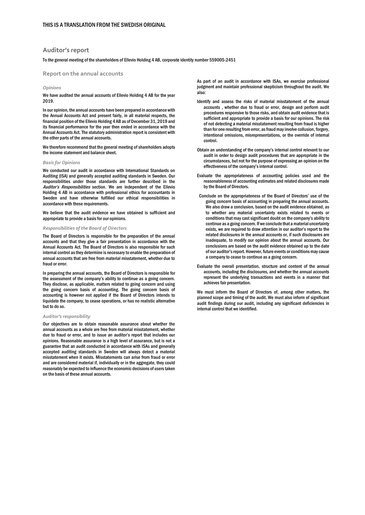#### **Auditor's report**

#### To the general meeting of the shareholders of Ellevio Holding 4 AB, corporate identity number 559005-2451

**Report on the annual accounts** 

#### *Opinions*

We have audited the annual accounts of Ellevio Holding 4 AB for the year 2019.

In our opinion, the annual accounts have been prepared in accordance with the Annual Accounts Act and present fairly, in all material respects, the financial position of the Ellevio Holding 4 AB as of December 31, 2019 and its financial performance for the year then ended in accordance with the Annual Accounts Act. The statutory administration report is consistent with the other parts of the annual accounts.

We therefore recommend that the general meeting of shareholders adopts the income statement and balance sheet.

#### *Basis for Opinions*

We conducted our audit in accordance with International Standards on Auditing (ISA) and generally accepted auditing standards in Sweden. Our responsibilities under those standards are further described in the Auditor's Responsibilities section. We are independent of the Ellevio Holding 4 AB in accordance with professional ethics for accountants in Sweden and have otherwise fulfilled our ethical responsibilities in accordance with these requirements.

We believe that the audit evidence we have obtained is sufficient and appropriate to provide a basis for our opinions.

#### *Responsibilities of the Board of Directors*

The Board of Directors is responsible for the preparation of the annual accounts and that they give a fair presentation in accordance with the Annual Accounts Act. The Board of Directors is also responsible for such internal control as they determine is necessary to enable the preparation of annual accounts that are free from material misstatement, whether due to fraud or error.

In preparing the annual accounts, the Board of Directors is responsible for the assessment of the company's ability to continue as a going concern. They disclose, as applicable, matters related to going concern and using the going concern basis of accounting. The going concern basis of accounting is however not applied if the Board of Directors intends to liquidate the company, to cease operations, or has no realistic alternative but to do so.

#### *Auditor's responsibility*

Our objectives are to obtain reasonable assurance about whether the annual accounts as a whole are free from material misstatement, whether due to fraud or error, and to issue an auditor's report that includes our opinions. Reasonable assurance is a high level of assurance, but is not a guarantee that an audit conducted in accordance with ISAs and generally accepted auditing standards in Sweden will always detect a material misstatement when it exists. Misstatements can arise from fraud or error and are considered material if, individually or in the aggregate, they could reasonably be expected to influence the economic decisions of users taken on the basis of these annual accounts.

As part of an audit in accordance with ISAs, we exercise professional judgment and maintain professional skepticism throughout the audit. We also:

- Identify and assess the risks of material misstatement of the annual accounts , whether due to fraud or error, design and perform audit procedures responsive to those risks, and obtain audit evidence that is sufficient and appropriate to provide a basis for our opinions. The risk of not detecting a material misstatement resulting from fraud is higher than for one resulting from error, as fraud may involve collusion, forgery, intentional omissions, misrepresentations, or the override of internal control.
- Obtain an understanding of the company's internal control relevant to our audit in order to design audit procedures that are appropriate in the circumstances, but not for the purpose of expressing an opinion on the effectiveness of the company's internal control.
- Evaluate the appropriateness of accounting policies used and the reasonableness of accounting estimates and related disclosures made by the Board of Directors.
- Conclude on the appropriateness of the Board of Directors' use of the going concern basis of accounting in preparing the annual accounts. We also draw a conclusion, based on the audit evidence obtained, as to whether any material uncertainty exists related to events or conditions that may cast significant doubt on the company's ability to continue as a going concern. If we conclude that a material uncertainty exists, we are required to draw attention in our auditor's report to the related disclosures in the annual accounts or, if such disclosures are inadequate, to modify our opinion about the annual accounts. Our conclusions are based on the audit evidence obtained up to the date of our auditor's report. However, future events or conditions may cause a company to cease to continue as a going concern.
- Evaluate the overall presentation, structure and content of the annual accounts, including the disclosures, and whether the annual accounts represent the underlying transactions and events in a manner that achieves fair presentation.

We must inform the Board of Directors of, among other matters, the planned scope and timing of the audit. We must also inform of significant audit findings during our audit, including any significant deficiencies in internal control that we identified.